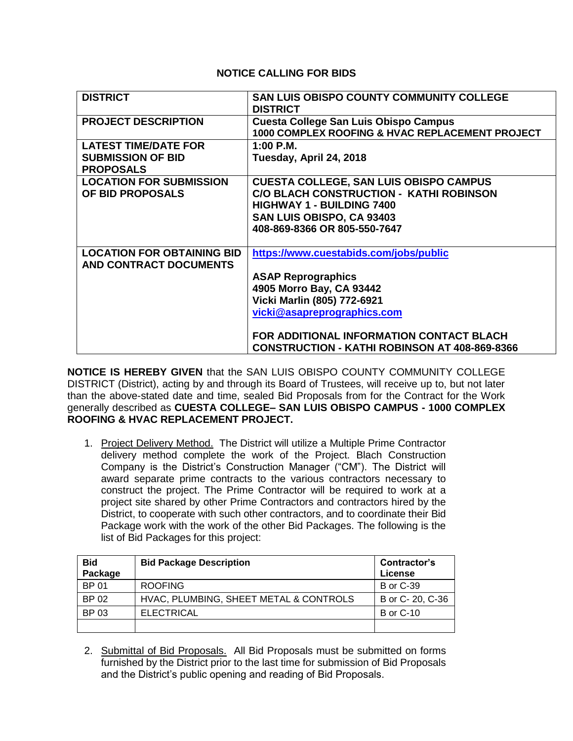## **NOTICE CALLING FOR BIDS**

| <b>DISTRICT</b>                                         | <b>SAN LUIS OBISPO COUNTY COMMUNITY COLLEGE</b><br><b>DISTRICT</b>                              |
|---------------------------------------------------------|-------------------------------------------------------------------------------------------------|
| <b>PROJECT DESCRIPTION</b>                              | <b>Cuesta College San Luis Obispo Campus</b><br>1000 COMPLEX ROOFING & HVAC REPLACEMENT PROJECT |
| <b>LATEST TIME/DATE FOR</b><br><b>SUBMISSION OF BID</b> | $1:00$ P.M.<br>Tuesday, April 24, 2018                                                          |
| <b>PROPOSALS</b>                                        |                                                                                                 |
| <b>LOCATION FOR SUBMISSION</b>                          | <b>CUESTA COLLEGE, SAN LUIS OBISPO CAMPUS</b>                                                   |
| OF BID PROPOSALS                                        | C/O BLACH CONSTRUCTION - KATHI ROBINSON                                                         |
|                                                         | <b>HIGHWAY 1 - BUILDING 7400</b><br>SAN LUIS OBISPO, CA 93403                                   |
|                                                         | 408-869-8366 OR 805-550-7647                                                                    |
|                                                         |                                                                                                 |
| <b>LOCATION FOR OBTAINING BID</b>                       | https://www.cuestabids.com/jobs/public                                                          |
| <b>AND CONTRACT DOCUMENTS</b>                           |                                                                                                 |
|                                                         | <b>ASAP Reprographics</b>                                                                       |
|                                                         | 4905 Morro Bay, CA 93442                                                                        |
|                                                         | Vicki Marlin (805) 772-6921                                                                     |
|                                                         | vicki@asapreprographics.com                                                                     |
|                                                         | FOR ADDITIONAL INFORMATION CONTACT BLACH                                                        |
|                                                         | <b>CONSTRUCTION - KATHI ROBINSON AT 408-869-8366</b>                                            |

**NOTICE IS HEREBY GIVEN** that the SAN LUIS OBISPO COUNTY COMMUNITY COLLEGE DISTRICT (District), acting by and through its Board of Trustees, will receive up to, but not later than the above-stated date and time, sealed Bid Proposals from for the Contract for the Work generally described as **CUESTA COLLEGE– SAN LUIS OBISPO CAMPUS - 1000 COMPLEX ROOFING & HVAC REPLACEMENT PROJECT.**

1. Project Delivery Method. The District will utilize a Multiple Prime Contractor delivery method complete the work of the Project. Blach Construction Company is the District's Construction Manager ("CM"). The District will award separate prime contracts to the various contractors necessary to construct the project. The Prime Contractor will be required to work at a project site shared by other Prime Contractors and contractors hired by the District, to cooperate with such other contractors, and to coordinate their Bid Package work with the work of the other Bid Packages. The following is the list of Bid Packages for this project:

| <b>Bid</b><br>Package | <b>Bid Package Description</b>         | Contractor's<br>License |
|-----------------------|----------------------------------------|-------------------------|
| BP 01                 | <b>ROOFING</b>                         | <b>B</b> or C-39        |
| BP 02                 | HVAC, PLUMBING, SHEET METAL & CONTROLS | B or C- 20, C-36        |
| BP 03                 | <b>ELECTRICAL</b>                      | <b>B</b> or C-10        |
|                       |                                        |                         |

2. Submittal of Bid Proposals. All Bid Proposals must be submitted on forms furnished by the District prior to the last time for submission of Bid Proposals and the District's public opening and reading of Bid Proposals.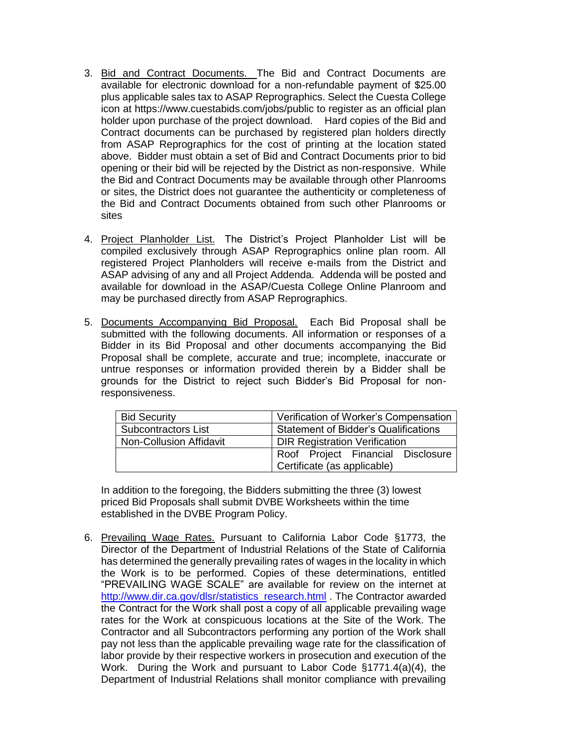- 3. Bid and Contract Documents. The Bid and Contract Documents are available for electronic download for a non-refundable payment of \$25.00 plus applicable sales tax to ASAP Reprographics. Select the Cuesta College icon at [https://www.cuestabids.com/jobs/public](https://protect-us.mimecast.com/s/bgYWCjRgm7S3XONsxBD-Y?domain=cuestabids.com) to register as an official plan holder upon purchase of the project download. Hard copies of the Bid and Contract documents can be purchased by registered plan holders directly from ASAP Reprographics for the cost of printing at the location stated above. Bidder must obtain a set of Bid and Contract Documents prior to bid opening or their bid will be rejected by the District as non-responsive. While the Bid and Contract Documents may be available through other Planrooms or sites, the District does not guarantee the authenticity or completeness of the Bid and Contract Documents obtained from such other Planrooms or sites
- 4. Project Planholder List. The District's Project Planholder List will be compiled exclusively through ASAP Reprographics online plan room. All registered Project Planholders will receive e-mails from the District and ASAP advising of any and all Project Addenda. Addenda will be posted and available for download in the ASAP/Cuesta College Online Planroom and may be purchased directly from ASAP Reprographics.
- 5. Documents Accompanying Bid Proposal. Each Bid Proposal shall be submitted with the following documents. All information or responses of a Bidder in its Bid Proposal and other documents accompanying the Bid Proposal shall be complete, accurate and true; incomplete, inaccurate or untrue responses or information provided therein by a Bidder shall be grounds for the District to reject such Bidder's Bid Proposal for nonresponsiveness.

| <b>Bid Security</b>            | Verification of Worker's Compensation                            |
|--------------------------------|------------------------------------------------------------------|
| Subcontractors List            | <b>Statement of Bidder's Qualifications</b>                      |
| <b>Non-Collusion Affidavit</b> | <b>DIR Registration Verification</b>                             |
|                                | Roof Project Financial Disclosure<br>Certificate (as applicable) |

In addition to the foregoing, the Bidders submitting the three (3) lowest priced Bid Proposals shall submit DVBE Worksheets within the time established in the DVBE Program Policy.

6. Prevailing Wage Rates. Pursuant to California Labor Code §1773, the Director of the Department of Industrial Relations of the State of California has determined the generally prevailing rates of wages in the locality in which the Work is to be performed. Copies of these determinations, entitled "PREVAILING WAGE SCALE" are available for review on the internet at [http://www.dir.ca.gov/dlsr/statistics\\_research.html](http://www.dir.ca.gov/dlsr/statistics_research.html) . The Contractor awarded the Contract for the Work shall post a copy of all applicable prevailing wage rates for the Work at conspicuous locations at the Site of the Work. The Contractor and all Subcontractors performing any portion of the Work shall pay not less than the applicable prevailing wage rate for the classification of labor provide by their respective workers in prosecution and execution of the Work. During the Work and pursuant to Labor Code §1771.4(a)(4), the Department of Industrial Relations shall monitor compliance with prevailing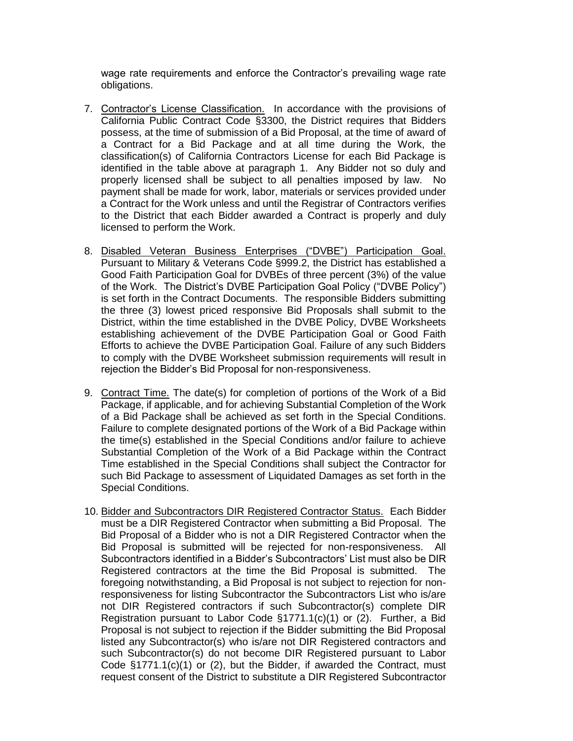wage rate requirements and enforce the Contractor's prevailing wage rate obligations.

- 7. Contractor's License Classification. In accordance with the provisions of California Public Contract Code §3300, the District requires that Bidders possess, at the time of submission of a Bid Proposal, at the time of award of a Contract for a Bid Package and at all time during the Work, the classification(s) of California Contractors License for each Bid Package is identified in the table above at paragraph 1. Any Bidder not so duly and properly licensed shall be subject to all penalties imposed by law. No payment shall be made for work, labor, materials or services provided under a Contract for the Work unless and until the Registrar of Contractors verifies to the District that each Bidder awarded a Contract is properly and duly licensed to perform the Work.
- 8. Disabled Veteran Business Enterprises ("DVBE") Participation Goal. Pursuant to Military & Veterans Code §999.2, the District has established a Good Faith Participation Goal for DVBEs of three percent (3%) of the value of the Work. The District's DVBE Participation Goal Policy ("DVBE Policy") is set forth in the Contract Documents. The responsible Bidders submitting the three (3) lowest priced responsive Bid Proposals shall submit to the District, within the time established in the DVBE Policy, DVBE Worksheets establishing achievement of the DVBE Participation Goal or Good Faith Efforts to achieve the DVBE Participation Goal. Failure of any such Bidders to comply with the DVBE Worksheet submission requirements will result in rejection the Bidder's Bid Proposal for non-responsiveness.
- 9. Contract Time. The date(s) for completion of portions of the Work of a Bid Package, if applicable, and for achieving Substantial Completion of the Work of a Bid Package shall be achieved as set forth in the Special Conditions. Failure to complete designated portions of the Work of a Bid Package within the time(s) established in the Special Conditions and/or failure to achieve Substantial Completion of the Work of a Bid Package within the Contract Time established in the Special Conditions shall subject the Contractor for such Bid Package to assessment of Liquidated Damages as set forth in the Special Conditions.
- 10. Bidder and Subcontractors DIR Registered Contractor Status. Each Bidder must be a DIR Registered Contractor when submitting a Bid Proposal. The Bid Proposal of a Bidder who is not a DIR Registered Contractor when the Bid Proposal is submitted will be rejected for non-responsiveness. All Subcontractors identified in a Bidder's Subcontractors' List must also be DIR Registered contractors at the time the Bid Proposal is submitted. The foregoing notwithstanding, a Bid Proposal is not subject to rejection for nonresponsiveness for listing Subcontractor the Subcontractors List who is/are not DIR Registered contractors if such Subcontractor(s) complete DIR Registration pursuant to Labor Code §1771.1(c)(1) or (2). Further, a Bid Proposal is not subject to rejection if the Bidder submitting the Bid Proposal listed any Subcontractor(s) who is/are not DIR Registered contractors and such Subcontractor(s) do not become DIR Registered pursuant to Labor Code §1771.1(c)(1) or (2), but the Bidder, if awarded the Contract, must request consent of the District to substitute a DIR Registered Subcontractor